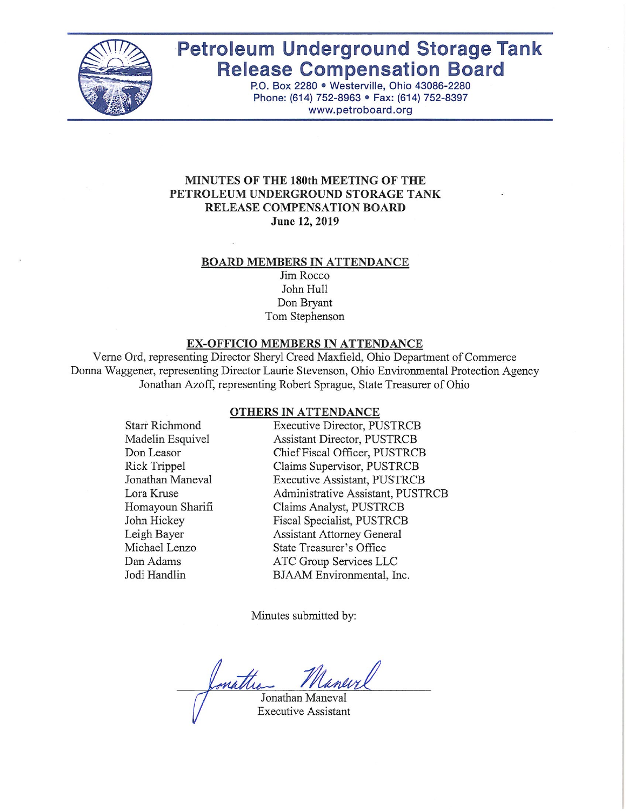

# **Petroleum Underground Storage Tank Release Compensation Board**

P.O. Box 2280 . Westerville, Ohio 43086-2280 Phone: (614) 752-8963 · Fax: (614) 752-8397 www.petroboard.org

## MINUTES OF THE 180th MEETING OF THE PETROLEUM UNDERGROUND STORAGE TANK RELEASE COMPENSATION BOARD June 12, 2019

#### **BOARD MEMBERS IN ATTENDANCE**

Jim Rocco John Hull Don Bryant Tom Stephenson

#### EX-OFFICIO MEMBERS IN ATTENDANCE

Verne Ord, representing Director Sheryl Creed Maxfield, Ohio Department of Commerce Donna Waggener, representing Director Laurie Stevenson, Ohio Environmental Protection Agency Jonathan Azoff, representing Robert Sprague, State Treasurer of Ohio

#### **OTHERS IN ATTENDANCE**

| Starr Richmond   |  |
|------------------|--|
| Madelin Esquivel |  |
| Don Leasor       |  |
| Rick Trippel     |  |
| Jonathan Maneval |  |
| Lora Kruse       |  |
| Homayoun Sharifi |  |
| John Hickey      |  |
| Leigh Bayer      |  |
| Michael Lenzo    |  |
| Dan Adams        |  |
| Jodi Handlin     |  |

**Executive Director, PUSTRCB** Assistant Director, PUSTRCB Chief Fiscal Officer, PUSTRCB Claims Supervisor, PUSTRCB **Executive Assistant, PUSTRCB** Administrative Assistant, PUSTRCB Claims Analyst, PUSTRCB Fiscal Specialist, PUSTRCB **Assistant Attorney General** State Treasurer's Office ATC Group Services LLC BJAAM Environmental, Inc.

Minutes submitted by:

mattre Jonathan Maneval

**Executive Assistant**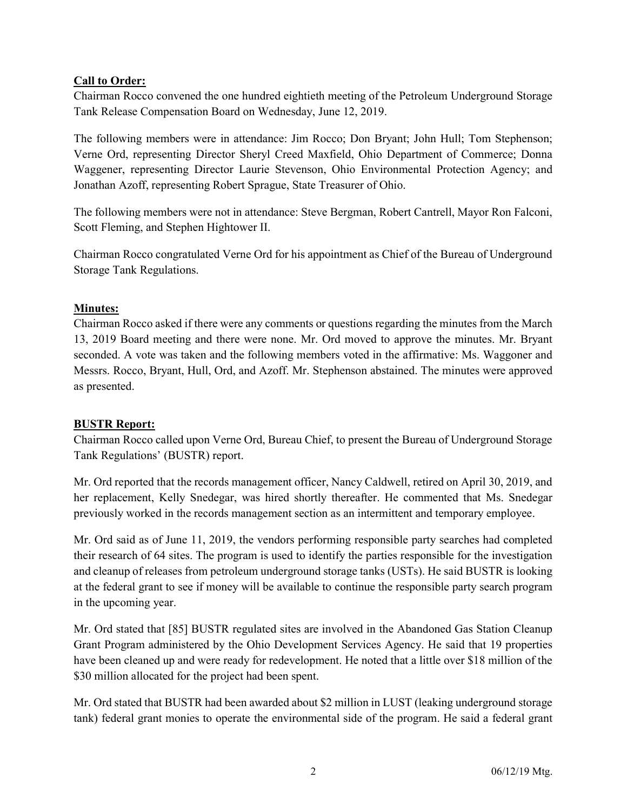## Call to Order:

Chairman Rocco convened the one hundred eightieth meeting of the Petroleum Underground Storage Tank Release Compensation Board on Wednesday, June 12, 2019.

The following members were in attendance: Jim Rocco; Don Bryant; John Hull; Tom Stephenson; Verne Ord, representing Director Sheryl Creed Maxfield, Ohio Department of Commerce; Donna Waggener, representing Director Laurie Stevenson, Ohio Environmental Protection Agency; and Jonathan Azoff, representing Robert Sprague, State Treasurer of Ohio.

The following members were not in attendance: Steve Bergman, Robert Cantrell, Mayor Ron Falconi, Scott Fleming, and Stephen Hightower II.

Chairman Rocco congratulated Verne Ord for his appointment as Chief of the Bureau of Underground Storage Tank Regulations.

## Minutes:

Chairman Rocco asked if there were any comments or questions regarding the minutes from the March 13, 2019 Board meeting and there were none. Mr. Ord moved to approve the minutes. Mr. Bryant seconded. A vote was taken and the following members voted in the affirmative: Ms. Waggoner and Messrs. Rocco, Bryant, Hull, Ord, and Azoff. Mr. Stephenson abstained. The minutes were approved as presented.

## BUSTR Report:

Chairman Rocco called upon Verne Ord, Bureau Chief, to present the Bureau of Underground Storage Tank Regulations' (BUSTR) report.

Mr. Ord reported that the records management officer, Nancy Caldwell, retired on April 30, 2019, and her replacement, Kelly Snedegar, was hired shortly thereafter. He commented that Ms. Snedegar previously worked in the records management section as an intermittent and temporary employee.

Mr. Ord said as of June 11, 2019, the vendors performing responsible party searches had completed their research of 64 sites. The program is used to identify the parties responsible for the investigation and cleanup of releases from petroleum underground storage tanks (USTs). He said BUSTR is looking at the federal grant to see if money will be available to continue the responsible party search program in the upcoming year.

Mr. Ord stated that [85] BUSTR regulated sites are involved in the Abandoned Gas Station Cleanup Grant Program administered by the Ohio Development Services Agency. He said that 19 properties have been cleaned up and were ready for redevelopment. He noted that a little over \$18 million of the \$30 million allocated for the project had been spent.

Mr. Ord stated that BUSTR had been awarded about \$2 million in LUST (leaking underground storage tank) federal grant monies to operate the environmental side of the program. He said a federal grant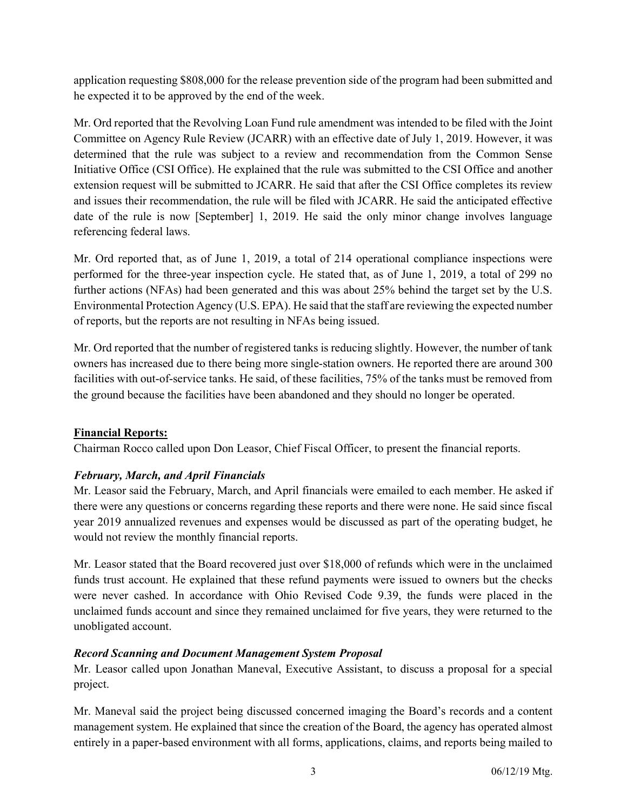application requesting \$808,000 for the release prevention side of the program had been submitted and he expected it to be approved by the end of the week.

Mr. Ord reported that the Revolving Loan Fund rule amendment was intended to be filed with the Joint Committee on Agency Rule Review (JCARR) with an effective date of July 1, 2019. However, it was determined that the rule was subject to a review and recommendation from the Common Sense Initiative Office (CSI Office). He explained that the rule was submitted to the CSI Office and another extension request will be submitted to JCARR. He said that after the CSI Office completes its review and issues their recommendation, the rule will be filed with JCARR. He said the anticipated effective date of the rule is now [September] 1, 2019. He said the only minor change involves language referencing federal laws.

Mr. Ord reported that, as of June 1, 2019, a total of 214 operational compliance inspections were performed for the three-year inspection cycle. He stated that, as of June 1, 2019, a total of 299 no further actions (NFAs) had been generated and this was about 25% behind the target set by the U.S. Environmental Protection Agency (U.S. EPA). He said that the staff are reviewing the expected number of reports, but the reports are not resulting in NFAs being issued.

Mr. Ord reported that the number of registered tanks is reducing slightly. However, the number of tank owners has increased due to there being more single-station owners. He reported there are around 300 facilities with out-of-service tanks. He said, of these facilities, 75% of the tanks must be removed from the ground because the facilities have been abandoned and they should no longer be operated.

# Financial Reports:

Chairman Rocco called upon Don Leasor, Chief Fiscal Officer, to present the financial reports.

# February, March, and April Financials

Mr. Leasor said the February, March, and April financials were emailed to each member. He asked if there were any questions or concerns regarding these reports and there were none. He said since fiscal year 2019 annualized revenues and expenses would be discussed as part of the operating budget, he would not review the monthly financial reports.

Mr. Leasor stated that the Board recovered just over \$18,000 of refunds which were in the unclaimed funds trust account. He explained that these refund payments were issued to owners but the checks were never cashed. In accordance with Ohio Revised Code 9.39, the funds were placed in the unclaimed funds account and since they remained unclaimed for five years, they were returned to the unobligated account.

## Record Scanning and Document Management System Proposal

Mr. Leasor called upon Jonathan Maneval, Executive Assistant, to discuss a proposal for a special project.

Mr. Maneval said the project being discussed concerned imaging the Board's records and a content management system. He explained that since the creation of the Board, the agency has operated almost entirely in a paper-based environment with all forms, applications, claims, and reports being mailed to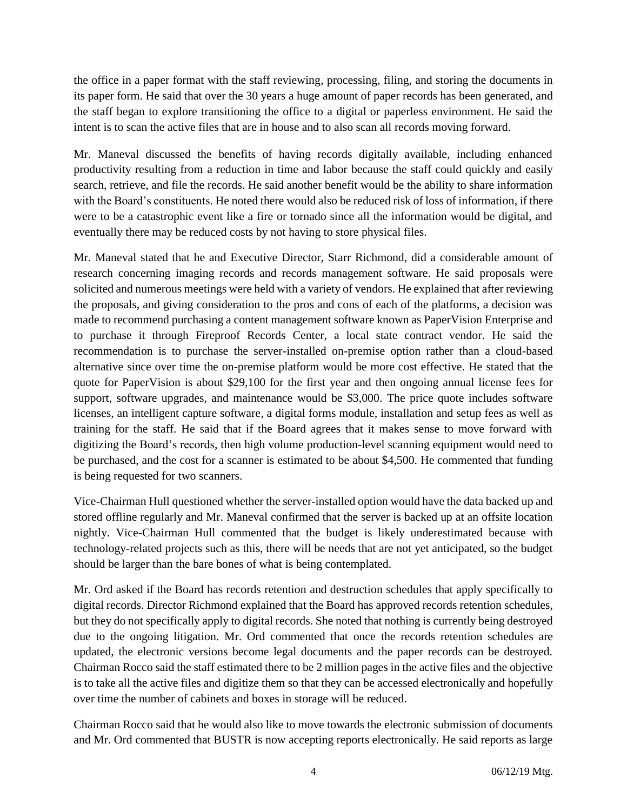the office in a paper format with the staff reviewing, processing, filing, and storing the documents in its paper form. He said that over the 30 years a huge amount of paper records has been generated, and the staff began to explore transitioning the office to a digital or paperless environment. He said the intent is to scan the active files that are in house and to also scan all records moving forward.

Mr. Maneval discussed the benefits of having records digitally available, including enhanced productivity resulting from a reduction in time and labor because the staff could quickly and easily search, retrieve, and file the records. He said another benefit would be the ability to share information with the Board's constituents. He noted there would also be reduced risk of loss of information, if there were to be a catastrophic event like a fire or tornado since all the information would be digital, and eventually there may be reduced costs by not having to store physical files.

Mr. Maneval stated that he and Executive Director, Starr Richmond, did a considerable amount of research concerning imaging records and records management software. He said proposals were solicited and numerous meetings were held with a variety of vendors. He explained that after reviewing the proposals, and giving consideration to the pros and cons of each of the platforms, a decision was made to recommend purchasing a content management software known as PaperVision Enterprise and to purchase it through Fireproof Records Center, a local state contract vendor. He said the recommendation is to purchase the server-installed on-premise option rather than a cloud-based alternative since over time the on-premise platform would be more cost effective. He stated that the quote for PaperVision is about \$29,100 for the first year and then ongoing annual license fees for support, software upgrades, and maintenance would be \$3,000. The price quote includes software licenses, an intelligent capture software, a digital forms module, installation and setup fees as well as training for the staff. He said that if the Board agrees that it makes sense to move forward with digitizing the Board's records, then high volume production-level scanning equipment would need to be purchased, and the cost for a scanner is estimated to be about \$4,500. He commented that funding is being requested for two scanners.

Vice-Chairman Hull questioned whether the server-installed option would have the data backed up and stored offline regularly and Mr. Maneval confirmed that the server is backed up at an offsite location nightly. Vice-Chairman Hull commented that the budget is likely underestimated because with technology-related projects such as this, there will be needs that are not yet anticipated, so the budget should be larger than the bare bones of what is being contemplated.

Mr. Ord asked if the Board has records retention and destruction schedules that apply specifically to digital records. Director Richmond explained that the Board has approved records retention schedules, but they do not specifically apply to digital records. She noted that nothing is currently being destroyed due to the ongoing litigation. Mr. Ord commented that once the records retention schedules are updated, the electronic versions become legal documents and the paper records can be destroyed. Chairman Rocco said the staff estimated there to be 2 million pages in the active files and the objective is to take all the active files and digitize them so that they can be accessed electronically and hopefully over time the number of cabinets and boxes in storage will be reduced.

Chairman Rocco said that he would also like to move towards the electronic submission of documents and Mr. Ord commented that BUSTR is now accepting reports electronically. He said reports as large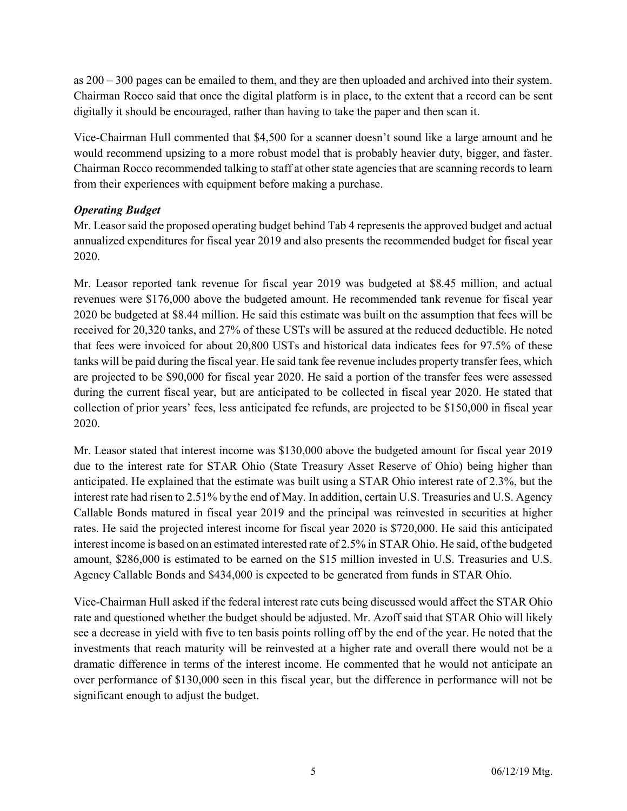as  $200 - 300$  pages can be emailed to them, and they are then uploaded and archived into their system. Chairman Rocco said that once the digital platform is in place, to the extent that a record can be sent digitally it should be encouraged, rather than having to take the paper and then scan it.

Vice-Chairman Hull commented that \$4,500 for a scanner doesn't sound like a large amount and he would recommend upsizing to a more robust model that is probably heavier duty, bigger, and faster. Chairman Rocco recommended talking to staff at other state agencies that are scanning records to learn from their experiences with equipment before making a purchase.

## Operating Budget

Mr. Leasor said the proposed operating budget behind Tab 4 represents the approved budget and actual annualized expenditures for fiscal year 2019 and also presents the recommended budget for fiscal year 2020.

Mr. Leasor reported tank revenue for fiscal year 2019 was budgeted at \$8.45 million, and actual revenues were \$176,000 above the budgeted amount. He recommended tank revenue for fiscal year 2020 be budgeted at \$8.44 million. He said this estimate was built on the assumption that fees will be received for 20,320 tanks, and 27% of these USTs will be assured at the reduced deductible. He noted that fees were invoiced for about 20,800 USTs and historical data indicates fees for 97.5% of these tanks will be paid during the fiscal year. He said tank fee revenue includes property transfer fees, which are projected to be \$90,000 for fiscal year 2020. He said a portion of the transfer fees were assessed during the current fiscal year, but are anticipated to be collected in fiscal year 2020. He stated that collection of prior years' fees, less anticipated fee refunds, are projected to be \$150,000 in fiscal year 2020.

Mr. Leasor stated that interest income was \$130,000 above the budgeted amount for fiscal year 2019 due to the interest rate for STAR Ohio (State Treasury Asset Reserve of Ohio) being higher than anticipated. He explained that the estimate was built using a STAR Ohio interest rate of 2.3%, but the interest rate had risen to 2.51% by the end of May. In addition, certain U.S. Treasuries and U.S. Agency Callable Bonds matured in fiscal year 2019 and the principal was reinvested in securities at higher rates. He said the projected interest income for fiscal year 2020 is \$720,000. He said this anticipated interest income is based on an estimated interested rate of 2.5% in STAR Ohio. He said, of the budgeted amount, \$286,000 is estimated to be earned on the \$15 million invested in U.S. Treasuries and U.S. Agency Callable Bonds and \$434,000 is expected to be generated from funds in STAR Ohio.

Vice-Chairman Hull asked if the federal interest rate cuts being discussed would affect the STAR Ohio rate and questioned whether the budget should be adjusted. Mr. Azoff said that STAR Ohio will likely see a decrease in yield with five to ten basis points rolling off by the end of the year. He noted that the investments that reach maturity will be reinvested at a higher rate and overall there would not be a dramatic difference in terms of the interest income. He commented that he would not anticipate an over performance of \$130,000 seen in this fiscal year, but the difference in performance will not be significant enough to adjust the budget.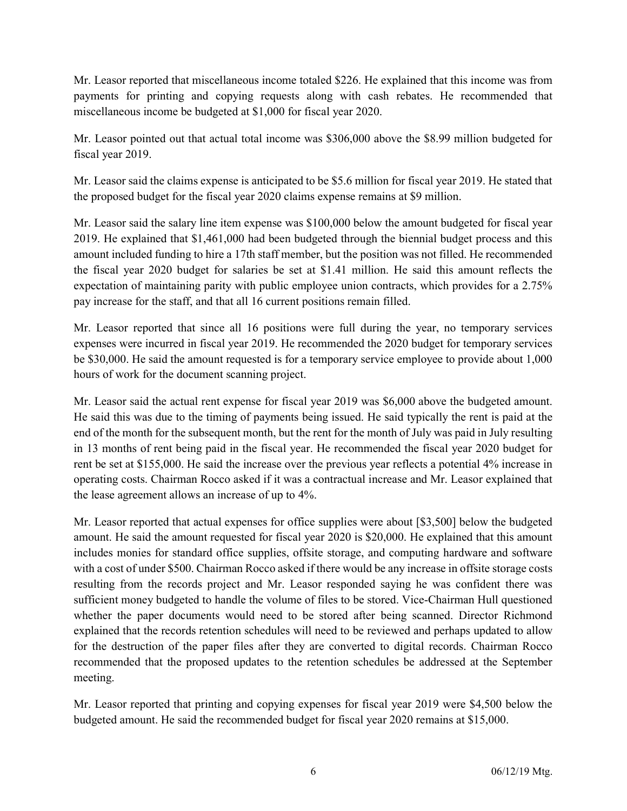Mr. Leasor reported that miscellaneous income totaled \$226. He explained that this income was from payments for printing and copying requests along with cash rebates. He recommended that miscellaneous income be budgeted at \$1,000 for fiscal year 2020.

Mr. Leasor pointed out that actual total income was \$306,000 above the \$8.99 million budgeted for fiscal year 2019.

Mr. Leasor said the claims expense is anticipated to be \$5.6 million for fiscal year 2019. He stated that the proposed budget for the fiscal year 2020 claims expense remains at \$9 million.

Mr. Leasor said the salary line item expense was \$100,000 below the amount budgeted for fiscal year 2019. He explained that \$1,461,000 had been budgeted through the biennial budget process and this amount included funding to hire a 17th staff member, but the position was not filled. He recommended the fiscal year 2020 budget for salaries be set at \$1.41 million. He said this amount reflects the expectation of maintaining parity with public employee union contracts, which provides for a 2.75% pay increase for the staff, and that all 16 current positions remain filled.

Mr. Leasor reported that since all 16 positions were full during the year, no temporary services expenses were incurred in fiscal year 2019. He recommended the 2020 budget for temporary services be \$30,000. He said the amount requested is for a temporary service employee to provide about 1,000 hours of work for the document scanning project.

Mr. Leasor said the actual rent expense for fiscal year 2019 was \$6,000 above the budgeted amount. He said this was due to the timing of payments being issued. He said typically the rent is paid at the end of the month for the subsequent month, but the rent for the month of July was paid in July resulting in 13 months of rent being paid in the fiscal year. He recommended the fiscal year 2020 budget for rent be set at \$155,000. He said the increase over the previous year reflects a potential 4% increase in operating costs. Chairman Rocco asked if it was a contractual increase and Mr. Leasor explained that the lease agreement allows an increase of up to 4%.

Mr. Leasor reported that actual expenses for office supplies were about [\$3,500] below the budgeted amount. He said the amount requested for fiscal year 2020 is \$20,000. He explained that this amount includes monies for standard office supplies, offsite storage, and computing hardware and software with a cost of under \$500. Chairman Rocco asked if there would be any increase in offsite storage costs resulting from the records project and Mr. Leasor responded saying he was confident there was sufficient money budgeted to handle the volume of files to be stored. Vice-Chairman Hull questioned whether the paper documents would need to be stored after being scanned. Director Richmond explained that the records retention schedules will need to be reviewed and perhaps updated to allow for the destruction of the paper files after they are converted to digital records. Chairman Rocco recommended that the proposed updates to the retention schedules be addressed at the September meeting.

Mr. Leasor reported that printing and copying expenses for fiscal year 2019 were \$4,500 below the budgeted amount. He said the recommended budget for fiscal year 2020 remains at \$15,000.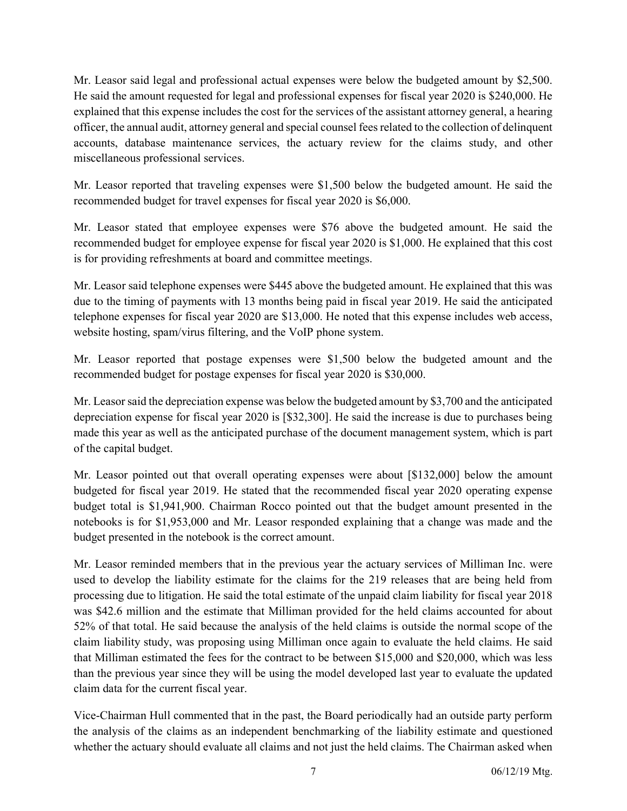Mr. Leasor said legal and professional actual expenses were below the budgeted amount by \$2,500. He said the amount requested for legal and professional expenses for fiscal year 2020 is \$240,000. He explained that this expense includes the cost for the services of the assistant attorney general, a hearing officer, the annual audit, attorney general and special counsel fees related to the collection of delinquent accounts, database maintenance services, the actuary review for the claims study, and other miscellaneous professional services.

Mr. Leasor reported that traveling expenses were \$1,500 below the budgeted amount. He said the recommended budget for travel expenses for fiscal year 2020 is \$6,000.

Mr. Leasor stated that employee expenses were \$76 above the budgeted amount. He said the recommended budget for employee expense for fiscal year 2020 is \$1,000. He explained that this cost is for providing refreshments at board and committee meetings.

Mr. Leasor said telephone expenses were \$445 above the budgeted amount. He explained that this was due to the timing of payments with 13 months being paid in fiscal year 2019. He said the anticipated telephone expenses for fiscal year 2020 are \$13,000. He noted that this expense includes web access, website hosting, spam/virus filtering, and the VoIP phone system.

Mr. Leasor reported that postage expenses were \$1,500 below the budgeted amount and the recommended budget for postage expenses for fiscal year 2020 is \$30,000.

Mr. Leasor said the depreciation expense was below the budgeted amount by \$3,700 and the anticipated depreciation expense for fiscal year 2020 is [\$32,300]. He said the increase is due to purchases being made this year as well as the anticipated purchase of the document management system, which is part of the capital budget.

Mr. Leasor pointed out that overall operating expenses were about [\$132,000] below the amount budgeted for fiscal year 2019. He stated that the recommended fiscal year 2020 operating expense budget total is \$1,941,900. Chairman Rocco pointed out that the budget amount presented in the notebooks is for \$1,953,000 and Mr. Leasor responded explaining that a change was made and the budget presented in the notebook is the correct amount.

Mr. Leasor reminded members that in the previous year the actuary services of Milliman Inc. were used to develop the liability estimate for the claims for the 219 releases that are being held from processing due to litigation. He said the total estimate of the unpaid claim liability for fiscal year 2018 was \$42.6 million and the estimate that Milliman provided for the held claims accounted for about 52% of that total. He said because the analysis of the held claims is outside the normal scope of the claim liability study, was proposing using Milliman once again to evaluate the held claims. He said that Milliman estimated the fees for the contract to be between \$15,000 and \$20,000, which was less than the previous year since they will be using the model developed last year to evaluate the updated claim data for the current fiscal year.

Vice-Chairman Hull commented that in the past, the Board periodically had an outside party perform the analysis of the claims as an independent benchmarking of the liability estimate and questioned whether the actuary should evaluate all claims and not just the held claims. The Chairman asked when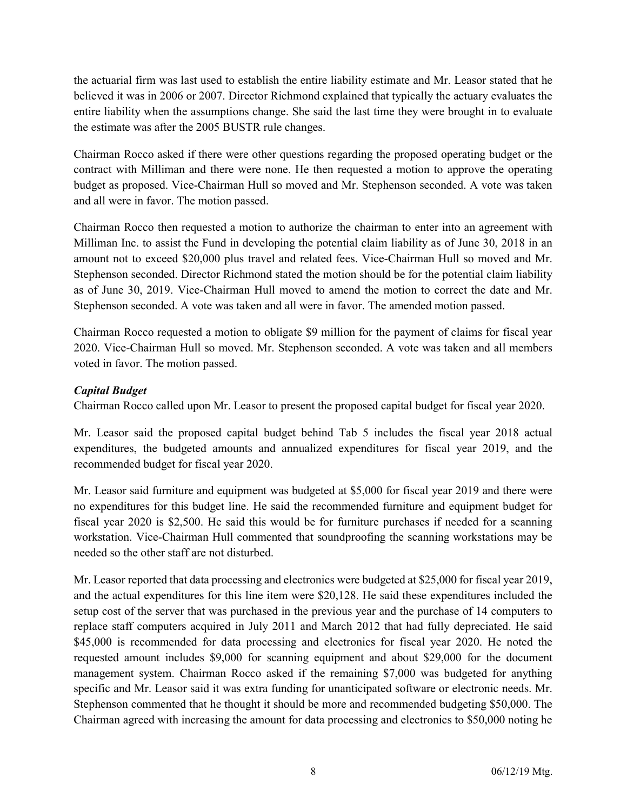the actuarial firm was last used to establish the entire liability estimate and Mr. Leasor stated that he believed it was in 2006 or 2007. Director Richmond explained that typically the actuary evaluates the entire liability when the assumptions change. She said the last time they were brought in to evaluate the estimate was after the 2005 BUSTR rule changes.

Chairman Rocco asked if there were other questions regarding the proposed operating budget or the contract with Milliman and there were none. He then requested a motion to approve the operating budget as proposed. Vice-Chairman Hull so moved and Mr. Stephenson seconded. A vote was taken and all were in favor. The motion passed.

Chairman Rocco then requested a motion to authorize the chairman to enter into an agreement with Milliman Inc. to assist the Fund in developing the potential claim liability as of June 30, 2018 in an amount not to exceed \$20,000 plus travel and related fees. Vice-Chairman Hull so moved and Mr. Stephenson seconded. Director Richmond stated the motion should be for the potential claim liability as of June 30, 2019. Vice-Chairman Hull moved to amend the motion to correct the date and Mr. Stephenson seconded. A vote was taken and all were in favor. The amended motion passed.

Chairman Rocco requested a motion to obligate \$9 million for the payment of claims for fiscal year 2020. Vice-Chairman Hull so moved. Mr. Stephenson seconded. A vote was taken and all members voted in favor. The motion passed.

## Capital Budget

Chairman Rocco called upon Mr. Leasor to present the proposed capital budget for fiscal year 2020.

Mr. Leasor said the proposed capital budget behind Tab 5 includes the fiscal year 2018 actual expenditures, the budgeted amounts and annualized expenditures for fiscal year 2019, and the recommended budget for fiscal year 2020.

Mr. Leasor said furniture and equipment was budgeted at \$5,000 for fiscal year 2019 and there were no expenditures for this budget line. He said the recommended furniture and equipment budget for fiscal year 2020 is \$2,500. He said this would be for furniture purchases if needed for a scanning workstation. Vice-Chairman Hull commented that soundproofing the scanning workstations may be needed so the other staff are not disturbed.

Mr. Leasor reported that data processing and electronics were budgeted at \$25,000 for fiscal year 2019, and the actual expenditures for this line item were \$20,128. He said these expenditures included the setup cost of the server that was purchased in the previous year and the purchase of 14 computers to replace staff computers acquired in July 2011 and March 2012 that had fully depreciated. He said \$45,000 is recommended for data processing and electronics for fiscal year 2020. He noted the requested amount includes \$9,000 for scanning equipment and about \$29,000 for the document management system. Chairman Rocco asked if the remaining \$7,000 was budgeted for anything specific and Mr. Leasor said it was extra funding for unanticipated software or electronic needs. Mr. Stephenson commented that he thought it should be more and recommended budgeting \$50,000. The Chairman agreed with increasing the amount for data processing and electronics to \$50,000 noting he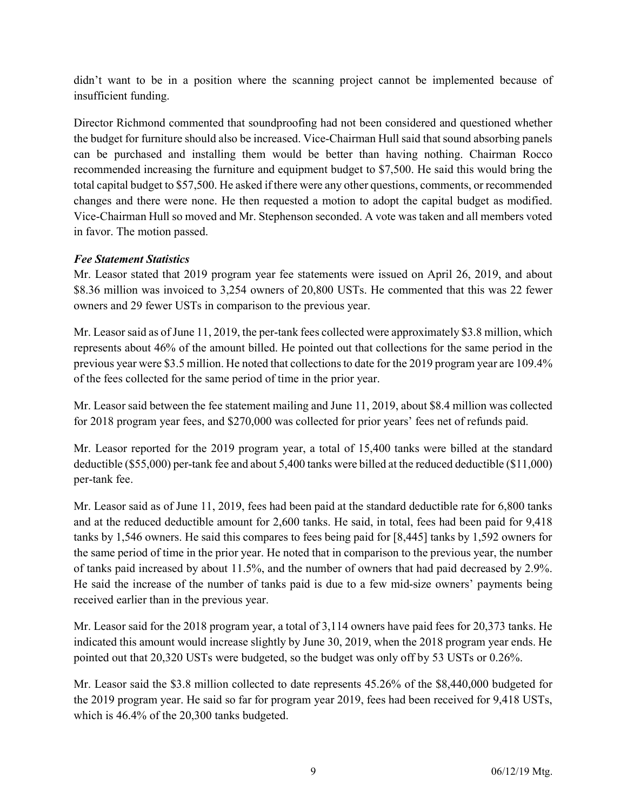didn't want to be in a position where the scanning project cannot be implemented because of insufficient funding.

Director Richmond commented that soundproofing had not been considered and questioned whether the budget for furniture should also be increased. Vice-Chairman Hull said that sound absorbing panels can be purchased and installing them would be better than having nothing. Chairman Rocco recommended increasing the furniture and equipment budget to \$7,500. He said this would bring the total capital budget to \$57,500. He asked if there were any other questions, comments, or recommended changes and there were none. He then requested a motion to adopt the capital budget as modified. Vice-Chairman Hull so moved and Mr. Stephenson seconded. A vote was taken and all members voted in favor. The motion passed.

## Fee Statement Statistics

Mr. Leasor stated that 2019 program year fee statements were issued on April 26, 2019, and about \$8.36 million was invoiced to 3,254 owners of 20,800 USTs. He commented that this was 22 fewer owners and 29 fewer USTs in comparison to the previous year.

Mr. Leasor said as of June 11, 2019, the per-tank fees collected were approximately \$3.8 million, which represents about 46% of the amount billed. He pointed out that collections for the same period in the previous year were \$3.5 million. He noted that collections to date for the 2019 program year are 109.4% of the fees collected for the same period of time in the prior year.

Mr. Leasor said between the fee statement mailing and June 11, 2019, about \$8.4 million was collected for 2018 program year fees, and \$270,000 was collected for prior years' fees net of refunds paid.

Mr. Leasor reported for the 2019 program year, a total of 15,400 tanks were billed at the standard deductible (\$55,000) per-tank fee and about 5,400 tanks were billed at the reduced deductible (\$11,000) per-tank fee.

Mr. Leasor said as of June 11, 2019, fees had been paid at the standard deductible rate for 6,800 tanks and at the reduced deductible amount for 2,600 tanks. He said, in total, fees had been paid for 9,418 tanks by 1,546 owners. He said this compares to fees being paid for [8,445] tanks by 1,592 owners for the same period of time in the prior year. He noted that in comparison to the previous year, the number of tanks paid increased by about 11.5%, and the number of owners that had paid decreased by 2.9%. He said the increase of the number of tanks paid is due to a few mid-size owners' payments being received earlier than in the previous year.

Mr. Leasor said for the 2018 program year, a total of 3,114 owners have paid fees for 20,373 tanks. He indicated this amount would increase slightly by June 30, 2019, when the 2018 program year ends. He pointed out that 20,320 USTs were budgeted, so the budget was only off by 53 USTs or 0.26%.

Mr. Leasor said the \$3.8 million collected to date represents 45.26% of the \$8,440,000 budgeted for the 2019 program year. He said so far for program year 2019, fees had been received for 9,418 USTs, which is 46.4% of the 20,300 tanks budgeted.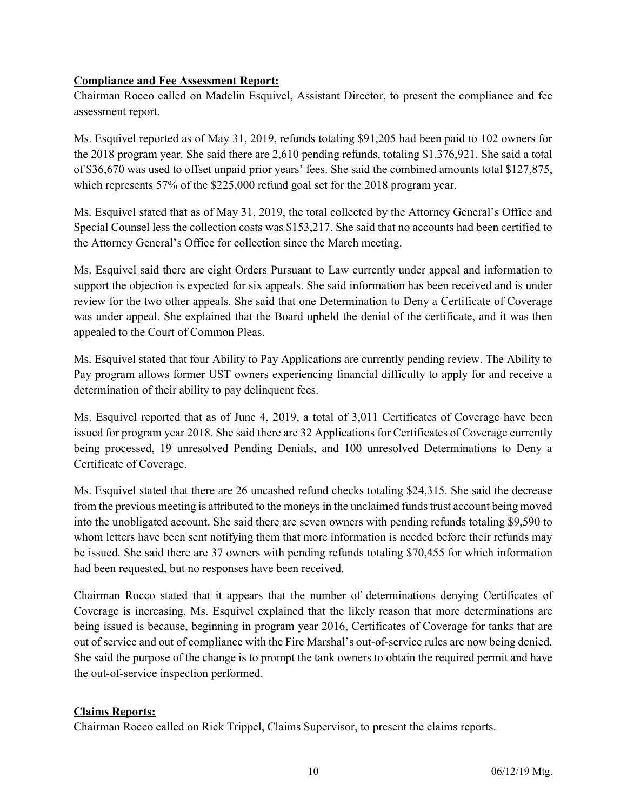## Compliance and Fee Assessment Report:

Chairman Rocco called on Madelin Esquivel, Assistant Director, to present the compliance and fee assessment report.

Ms. Esquivel reported as of May 31, 2019, refunds totaling \$91,205 had been paid to 102 owners for the 2018 program year. She said there are 2,610 pending refunds, totaling \$1,376,921. She said a total of \$36,670 was used to offset unpaid prior years' fees. She said the combined amounts total \$127,875, which represents 57% of the \$225,000 refund goal set for the 2018 program year.

Ms. Esquivel stated that as of May 31, 2019, the total collected by the Attorney General's Office and Special Counsel less the collection costs was \$153,217. She said that no accounts had been certified to the Attorney General's Office for collection since the March meeting.

Ms. Esquivel said there are eight Orders Pursuant to Law currently under appeal and information to support the objection is expected for six appeals. She said information has been received and is under review for the two other appeals. She said that one Determination to Deny a Certificate of Coverage was under appeal. She explained that the Board upheld the denial of the certificate, and it was then appealed to the Court of Common Pleas.

Ms. Esquivel stated that four Ability to Pay Applications are currently pending review. The Ability to Pay program allows former UST owners experiencing financial difficulty to apply for and receive a determination of their ability to pay delinquent fees.

Ms. Esquivel reported that as of June 4, 2019, a total of 3,011 Certificates of Coverage have been issued for program year 2018. She said there are 32 Applications for Certificates of Coverage currently being processed, 19 unresolved Pending Denials, and 100 unresolved Determinations to Deny a Certificate of Coverage.

Ms. Esquivel stated that there are 26 uncashed refund checks totaling \$24,315. She said the decrease from the previous meeting is attributed to the moneys in the unclaimed funds trust account being moved into the unobligated account. She said there are seven owners with pending refunds totaling \$9,590 to whom letters have been sent notifying them that more information is needed before their refunds may be issued. She said there are 37 owners with pending refunds totaling \$70,455 for which information had been requested, but no responses have been received.

Chairman Rocco stated that it appears that the number of determinations denying Certificates of Coverage is increasing. Ms. Esquivel explained that the likely reason that more determinations are being issued is because, beginning in program year 2016, Certificates of Coverage for tanks that are out of service and out of compliance with the Fire Marshal's out-of-service rules are now being denied. She said the purpose of the change is to prompt the tank owners to obtain the required permit and have the out-of-service inspection performed.

## Claims Reports:

Chairman Rocco called on Rick Trippel, Claims Supervisor, to present the claims reports.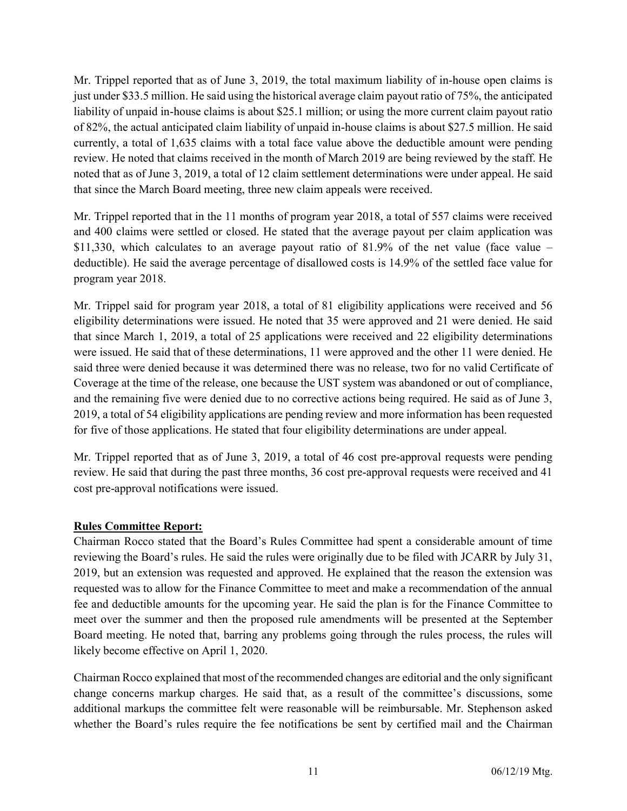Mr. Trippel reported that as of June 3, 2019, the total maximum liability of in-house open claims is just under \$33.5 million. He said using the historical average claim payout ratio of 75%, the anticipated liability of unpaid in-house claims is about \$25.1 million; or using the more current claim payout ratio of 82%, the actual anticipated claim liability of unpaid in-house claims is about \$27.5 million. He said currently, a total of 1,635 claims with a total face value above the deductible amount were pending review. He noted that claims received in the month of March 2019 are being reviewed by the staff. He noted that as of June 3, 2019, a total of 12 claim settlement determinations were under appeal. He said that since the March Board meeting, three new claim appeals were received.

Mr. Trippel reported that in the 11 months of program year 2018, a total of 557 claims were received and 400 claims were settled or closed. He stated that the average payout per claim application was \$11,330, which calculates to an average payout ratio of 81.9% of the net value (face value – deductible). He said the average percentage of disallowed costs is 14.9% of the settled face value for program year 2018.

Mr. Trippel said for program year 2018, a total of 81 eligibility applications were received and 56 eligibility determinations were issued. He noted that 35 were approved and 21 were denied. He said that since March 1, 2019, a total of 25 applications were received and 22 eligibility determinations were issued. He said that of these determinations, 11 were approved and the other 11 were denied. He said three were denied because it was determined there was no release, two for no valid Certificate of Coverage at the time of the release, one because the UST system was abandoned or out of compliance, and the remaining five were denied due to no corrective actions being required. He said as of June 3, 2019, a total of 54 eligibility applications are pending review and more information has been requested for five of those applications. He stated that four eligibility determinations are under appeal.

Mr. Trippel reported that as of June 3, 2019, a total of 46 cost pre-approval requests were pending review. He said that during the past three months, 36 cost pre-approval requests were received and 41 cost pre-approval notifications were issued.

## Rules Committee Report:

Chairman Rocco stated that the Board's Rules Committee had spent a considerable amount of time reviewing the Board's rules. He said the rules were originally due to be filed with JCARR by July 31, 2019, but an extension was requested and approved. He explained that the reason the extension was requested was to allow for the Finance Committee to meet and make a recommendation of the annual fee and deductible amounts for the upcoming year. He said the plan is for the Finance Committee to meet over the summer and then the proposed rule amendments will be presented at the September Board meeting. He noted that, barring any problems going through the rules process, the rules will likely become effective on April 1, 2020.

Chairman Rocco explained that most of the recommended changes are editorial and the only significant change concerns markup charges. He said that, as a result of the committee's discussions, some additional markups the committee felt were reasonable will be reimbursable. Mr. Stephenson asked whether the Board's rules require the fee notifications be sent by certified mail and the Chairman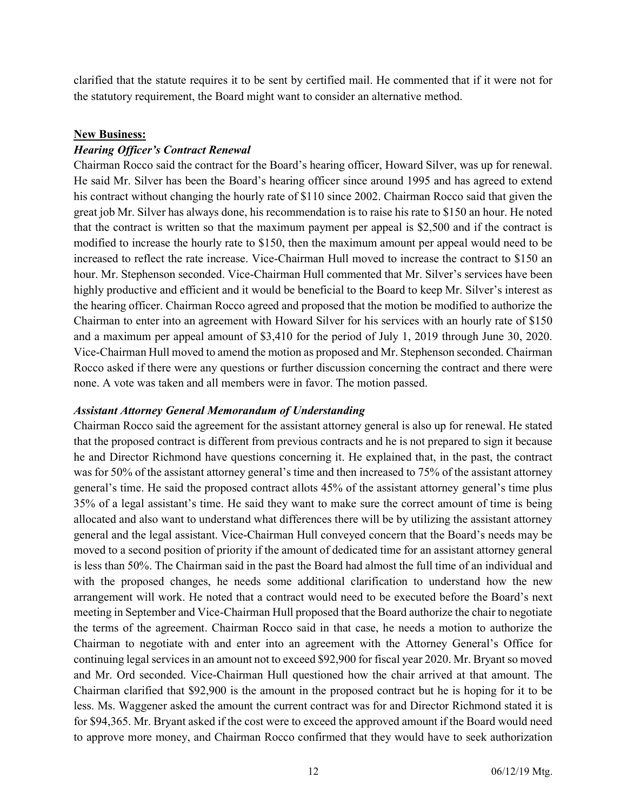clarified that the statute requires it to be sent by certified mail. He commented that if it were not for the statutory requirement, the Board might want to consider an alternative method.

#### New Business:

#### Hearing Officer's Contract Renewal

Chairman Rocco said the contract for the Board's hearing officer, Howard Silver, was up for renewal. He said Mr. Silver has been the Board's hearing officer since around 1995 and has agreed to extend his contract without changing the hourly rate of \$110 since 2002. Chairman Rocco said that given the great job Mr. Silver has always done, his recommendation is to raise his rate to \$150 an hour. He noted that the contract is written so that the maximum payment per appeal is \$2,500 and if the contract is modified to increase the hourly rate to \$150, then the maximum amount per appeal would need to be increased to reflect the rate increase. Vice-Chairman Hull moved to increase the contract to \$150 an hour. Mr. Stephenson seconded. Vice-Chairman Hull commented that Mr. Silver's services have been highly productive and efficient and it would be beneficial to the Board to keep Mr. Silver's interest as the hearing officer. Chairman Rocco agreed and proposed that the motion be modified to authorize the Chairman to enter into an agreement with Howard Silver for his services with an hourly rate of \$150 and a maximum per appeal amount of \$3,410 for the period of July 1, 2019 through June 30, 2020. Vice-Chairman Hull moved to amend the motion as proposed and Mr. Stephenson seconded. Chairman Rocco asked if there were any questions or further discussion concerning the contract and there were none. A vote was taken and all members were in favor. The motion passed.

#### Assistant Attorney General Memorandum of Understanding

Chairman Rocco said the agreement for the assistant attorney general is also up for renewal. He stated that the proposed contract is different from previous contracts and he is not prepared to sign it because he and Director Richmond have questions concerning it. He explained that, in the past, the contract was for 50% of the assistant attorney general's time and then increased to 75% of the assistant attorney general's time. He said the proposed contract allots 45% of the assistant attorney general's time plus 35% of a legal assistant's time. He said they want to make sure the correct amount of time is being allocated and also want to understand what differences there will be by utilizing the assistant attorney general and the legal assistant. Vice-Chairman Hull conveyed concern that the Board's needs may be moved to a second position of priority if the amount of dedicated time for an assistant attorney general is less than 50%. The Chairman said in the past the Board had almost the full time of an individual and with the proposed changes, he needs some additional clarification to understand how the new arrangement will work. He noted that a contract would need to be executed before the Board's next meeting in September and Vice-Chairman Hull proposed that the Board authorize the chair to negotiate the terms of the agreement. Chairman Rocco said in that case, he needs a motion to authorize the Chairman to negotiate with and enter into an agreement with the Attorney General's Office for continuing legal services in an amount not to exceed \$92,900 for fiscal year 2020. Mr. Bryant so moved and Mr. Ord seconded. Vice-Chairman Hull questioned how the chair arrived at that amount. The Chairman clarified that \$92,900 is the amount in the proposed contract but he is hoping for it to be less. Ms. Waggener asked the amount the current contract was for and Director Richmond stated it is for \$94,365. Mr. Bryant asked if the cost were to exceed the approved amount if the Board would need to approve more money, and Chairman Rocco confirmed that they would have to seek authorization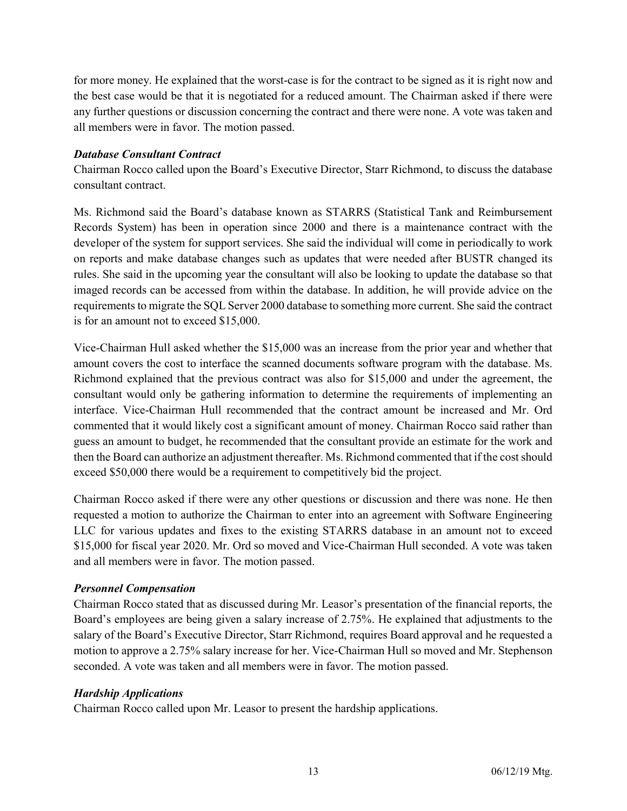for more money. He explained that the worst-case is for the contract to be signed as it is right now and the best case would be that it is negotiated for a reduced amount. The Chairman asked if there were any further questions or discussion concerning the contract and there were none. A vote was taken and all members were in favor. The motion passed.

## Database Consultant Contract

Chairman Rocco called upon the Board's Executive Director, Starr Richmond, to discuss the database consultant contract.

Ms. Richmond said the Board's database known as STARRS (Statistical Tank and Reimbursement Records System) has been in operation since 2000 and there is a maintenance contract with the developer of the system for support services. She said the individual will come in periodically to work on reports and make database changes such as updates that were needed after BUSTR changed its rules. She said in the upcoming year the consultant will also be looking to update the database so that imaged records can be accessed from within the database. In addition, he will provide advice on the requirements to migrate the SQL Server 2000 database to something more current. She said the contract is for an amount not to exceed \$15,000.

Vice-Chairman Hull asked whether the \$15,000 was an increase from the prior year and whether that amount covers the cost to interface the scanned documents software program with the database. Ms. Richmond explained that the previous contract was also for \$15,000 and under the agreement, the consultant would only be gathering information to determine the requirements of implementing an interface. Vice-Chairman Hull recommended that the contract amount be increased and Mr. Ord commented that it would likely cost a significant amount of money. Chairman Rocco said rather than guess an amount to budget, he recommended that the consultant provide an estimate for the work and then the Board can authorize an adjustment thereafter. Ms. Richmond commented that if the cost should exceed \$50,000 there would be a requirement to competitively bid the project.

Chairman Rocco asked if there were any other questions or discussion and there was none. He then requested a motion to authorize the Chairman to enter into an agreement with Software Engineering LLC for various updates and fixes to the existing STARRS database in an amount not to exceed \$15,000 for fiscal year 2020. Mr. Ord so moved and Vice-Chairman Hull seconded. A vote was taken and all members were in favor. The motion passed.

# Personnel Compensation

Chairman Rocco stated that as discussed during Mr. Leasor's presentation of the financial reports, the Board's employees are being given a salary increase of 2.75%. He explained that adjustments to the salary of the Board's Executive Director, Starr Richmond, requires Board approval and he requested a motion to approve a 2.75% salary increase for her. Vice-Chairman Hull so moved and Mr. Stephenson seconded. A vote was taken and all members were in favor. The motion passed.

## Hardship Applications

Chairman Rocco called upon Mr. Leasor to present the hardship applications.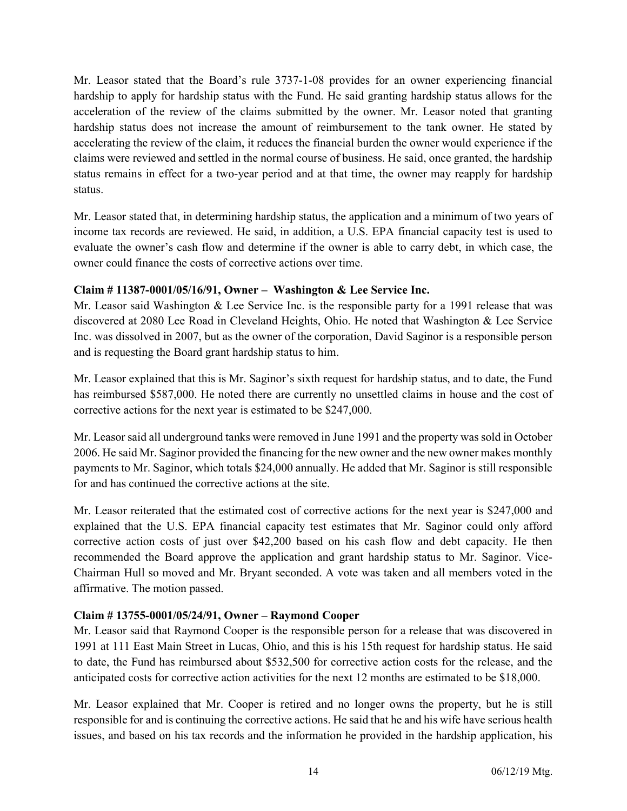Mr. Leasor stated that the Board's rule 3737-1-08 provides for an owner experiencing financial hardship to apply for hardship status with the Fund. He said granting hardship status allows for the acceleration of the review of the claims submitted by the owner. Mr. Leasor noted that granting hardship status does not increase the amount of reimbursement to the tank owner. He stated by accelerating the review of the claim, it reduces the financial burden the owner would experience if the claims were reviewed and settled in the normal course of business. He said, once granted, the hardship status remains in effect for a two-year period and at that time, the owner may reapply for hardship status.

Mr. Leasor stated that, in determining hardship status, the application and a minimum of two years of income tax records are reviewed. He said, in addition, a U.S. EPA financial capacity test is used to evaluate the owner's cash flow and determine if the owner is able to carry debt, in which case, the owner could finance the costs of corrective actions over time.

# Claim # 11387-0001/05/16/91, Owner – Washington & Lee Service Inc.

Mr. Leasor said Washington & Lee Service Inc. is the responsible party for a 1991 release that was discovered at 2080 Lee Road in Cleveland Heights, Ohio. He noted that Washington & Lee Service Inc. was dissolved in 2007, but as the owner of the corporation, David Saginor is a responsible person and is requesting the Board grant hardship status to him.

Mr. Leasor explained that this is Mr. Saginor's sixth request for hardship status, and to date, the Fund has reimbursed \$587,000. He noted there are currently no unsettled claims in house and the cost of corrective actions for the next year is estimated to be \$247,000.

Mr. Leasor said all underground tanks were removed in June 1991 and the property was sold in October 2006. He said Mr. Saginor provided the financing for the new owner and the new owner makes monthly payments to Mr. Saginor, which totals \$24,000 annually. He added that Mr. Saginor is still responsible for and has continued the corrective actions at the site.

Mr. Leasor reiterated that the estimated cost of corrective actions for the next year is \$247,000 and explained that the U.S. EPA financial capacity test estimates that Mr. Saginor could only afford corrective action costs of just over \$42,200 based on his cash flow and debt capacity. He then recommended the Board approve the application and grant hardship status to Mr. Saginor. Vice-Chairman Hull so moved and Mr. Bryant seconded. A vote was taken and all members voted in the affirmative. The motion passed.

# Claim # 13755-0001/05/24/91, Owner – Raymond Cooper

Mr. Leasor said that Raymond Cooper is the responsible person for a release that was discovered in 1991 at 111 East Main Street in Lucas, Ohio, and this is his 15th request for hardship status. He said to date, the Fund has reimbursed about \$532,500 for corrective action costs for the release, and the anticipated costs for corrective action activities for the next 12 months are estimated to be \$18,000.

Mr. Leasor explained that Mr. Cooper is retired and no longer owns the property, but he is still responsible for and is continuing the corrective actions. He said that he and his wife have serious health issues, and based on his tax records and the information he provided in the hardship application, his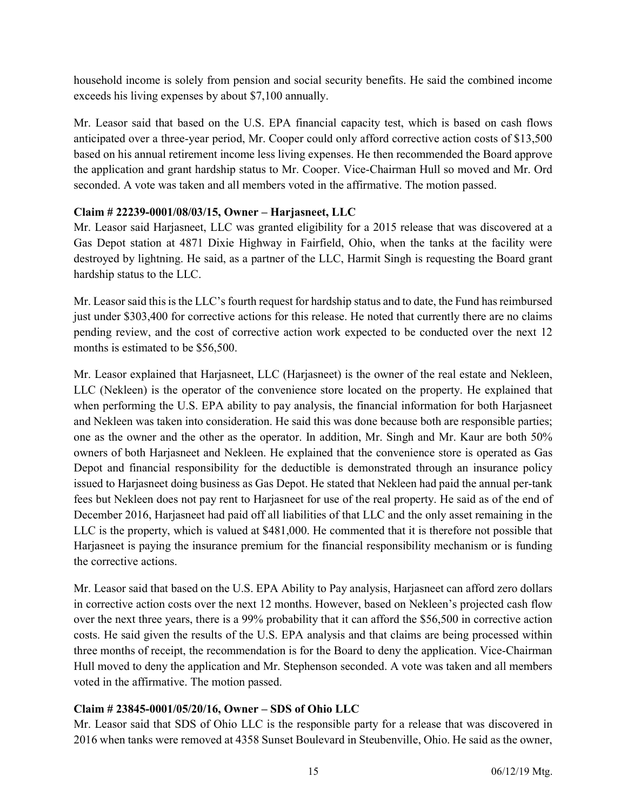household income is solely from pension and social security benefits. He said the combined income exceeds his living expenses by about \$7,100 annually.

Mr. Leasor said that based on the U.S. EPA financial capacity test, which is based on cash flows anticipated over a three-year period, Mr. Cooper could only afford corrective action costs of \$13,500 based on his annual retirement income less living expenses. He then recommended the Board approve the application and grant hardship status to Mr. Cooper. Vice-Chairman Hull so moved and Mr. Ord seconded. A vote was taken and all members voted in the affirmative. The motion passed.

# Claim # 22239-0001/08/03/15, Owner – Harjasneet, LLC

Mr. Leasor said Harjasneet, LLC was granted eligibility for a 2015 release that was discovered at a Gas Depot station at 4871 Dixie Highway in Fairfield, Ohio, when the tanks at the facility were destroyed by lightning. He said, as a partner of the LLC, Harmit Singh is requesting the Board grant hardship status to the LLC.

Mr. Leasor said this is the LLC's fourth request for hardship status and to date, the Fund has reimbursed just under \$303,400 for corrective actions for this release. He noted that currently there are no claims pending review, and the cost of corrective action work expected to be conducted over the next 12 months is estimated to be \$56,500.

Mr. Leasor explained that Harjasneet, LLC (Harjasneet) is the owner of the real estate and Nekleen, LLC (Nekleen) is the operator of the convenience store located on the property. He explained that when performing the U.S. EPA ability to pay analysis, the financial information for both Harjasneet and Nekleen was taken into consideration. He said this was done because both are responsible parties; one as the owner and the other as the operator. In addition, Mr. Singh and Mr. Kaur are both 50% owners of both Harjasneet and Nekleen. He explained that the convenience store is operated as Gas Depot and financial responsibility for the deductible is demonstrated through an insurance policy issued to Harjasneet doing business as Gas Depot. He stated that Nekleen had paid the annual per-tank fees but Nekleen does not pay rent to Harjasneet for use of the real property. He said as of the end of December 2016, Harjasneet had paid off all liabilities of that LLC and the only asset remaining in the LLC is the property, which is valued at \$481,000. He commented that it is therefore not possible that Harjasneet is paying the insurance premium for the financial responsibility mechanism or is funding the corrective actions.

Mr. Leasor said that based on the U.S. EPA Ability to Pay analysis, Harjasneet can afford zero dollars in corrective action costs over the next 12 months. However, based on Nekleen's projected cash flow over the next three years, there is a 99% probability that it can afford the \$56,500 in corrective action costs. He said given the results of the U.S. EPA analysis and that claims are being processed within three months of receipt, the recommendation is for the Board to deny the application. Vice-Chairman Hull moved to deny the application and Mr. Stephenson seconded. A vote was taken and all members voted in the affirmative. The motion passed.

# Claim # 23845-0001/05/20/16, Owner – SDS of Ohio LLC

Mr. Leasor said that SDS of Ohio LLC is the responsible party for a release that was discovered in 2016 when tanks were removed at 4358 Sunset Boulevard in Steubenville, Ohio. He said as the owner,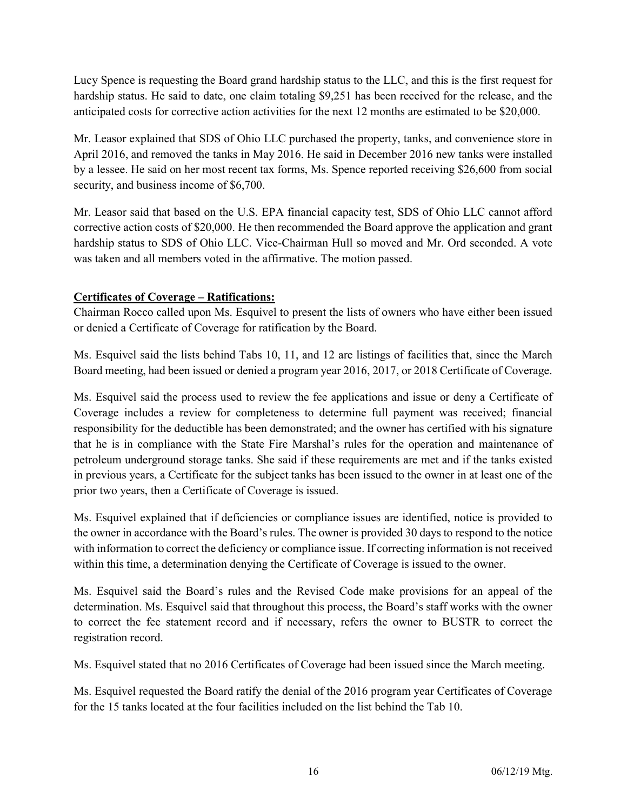Lucy Spence is requesting the Board grand hardship status to the LLC, and this is the first request for hardship status. He said to date, one claim totaling \$9,251 has been received for the release, and the anticipated costs for corrective action activities for the next 12 months are estimated to be \$20,000.

Mr. Leasor explained that SDS of Ohio LLC purchased the property, tanks, and convenience store in April 2016, and removed the tanks in May 2016. He said in December 2016 new tanks were installed by a lessee. He said on her most recent tax forms, Ms. Spence reported receiving \$26,600 from social security, and business income of \$6,700.

Mr. Leasor said that based on the U.S. EPA financial capacity test, SDS of Ohio LLC cannot afford corrective action costs of \$20,000. He then recommended the Board approve the application and grant hardship status to SDS of Ohio LLC. Vice-Chairman Hull so moved and Mr. Ord seconded. A vote was taken and all members voted in the affirmative. The motion passed.

# Certificates of Coverage – Ratifications:

Chairman Rocco called upon Ms. Esquivel to present the lists of owners who have either been issued or denied a Certificate of Coverage for ratification by the Board.

Ms. Esquivel said the lists behind Tabs 10, 11, and 12 are listings of facilities that, since the March Board meeting, had been issued or denied a program year 2016, 2017, or 2018 Certificate of Coverage.

Ms. Esquivel said the process used to review the fee applications and issue or deny a Certificate of Coverage includes a review for completeness to determine full payment was received; financial responsibility for the deductible has been demonstrated; and the owner has certified with his signature that he is in compliance with the State Fire Marshal's rules for the operation and maintenance of petroleum underground storage tanks. She said if these requirements are met and if the tanks existed in previous years, a Certificate for the subject tanks has been issued to the owner in at least one of the prior two years, then a Certificate of Coverage is issued.

Ms. Esquivel explained that if deficiencies or compliance issues are identified, notice is provided to the owner in accordance with the Board's rules. The owner is provided 30 days to respond to the notice with information to correct the deficiency or compliance issue. If correcting information is not received within this time, a determination denying the Certificate of Coverage is issued to the owner.

Ms. Esquivel said the Board's rules and the Revised Code make provisions for an appeal of the determination. Ms. Esquivel said that throughout this process, the Board's staff works with the owner to correct the fee statement record and if necessary, refers the owner to BUSTR to correct the registration record.

Ms. Esquivel stated that no 2016 Certificates of Coverage had been issued since the March meeting.

Ms. Esquivel requested the Board ratify the denial of the 2016 program year Certificates of Coverage for the 15 tanks located at the four facilities included on the list behind the Tab 10.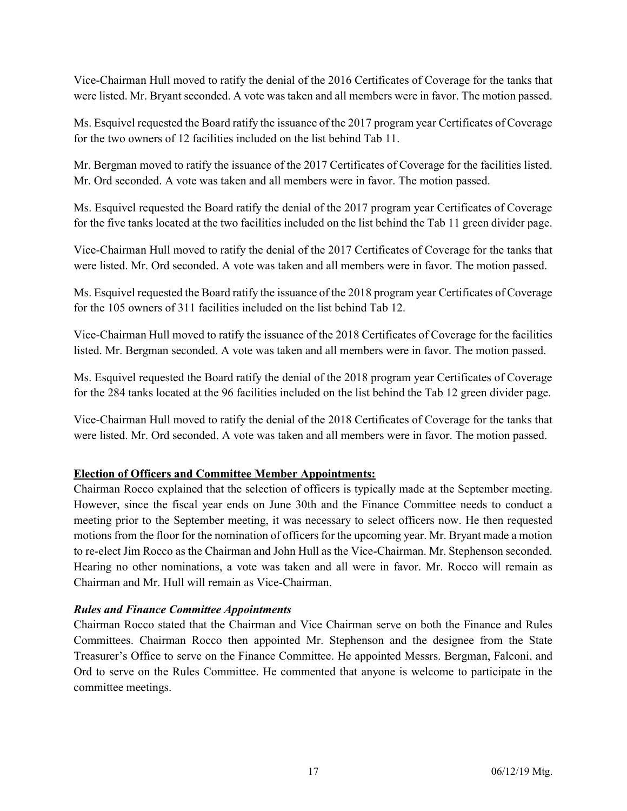Vice-Chairman Hull moved to ratify the denial of the 2016 Certificates of Coverage for the tanks that were listed. Mr. Bryant seconded. A vote was taken and all members were in favor. The motion passed.

Ms. Esquivel requested the Board ratify the issuance of the 2017 program year Certificates of Coverage for the two owners of 12 facilities included on the list behind Tab 11.

Mr. Bergman moved to ratify the issuance of the 2017 Certificates of Coverage for the facilities listed. Mr. Ord seconded. A vote was taken and all members were in favor. The motion passed.

Ms. Esquivel requested the Board ratify the denial of the 2017 program year Certificates of Coverage for the five tanks located at the two facilities included on the list behind the Tab 11 green divider page.

Vice-Chairman Hull moved to ratify the denial of the 2017 Certificates of Coverage for the tanks that were listed. Mr. Ord seconded. A vote was taken and all members were in favor. The motion passed.

Ms. Esquivel requested the Board ratify the issuance of the 2018 program year Certificates of Coverage for the 105 owners of 311 facilities included on the list behind Tab 12.

Vice-Chairman Hull moved to ratify the issuance of the 2018 Certificates of Coverage for the facilities listed. Mr. Bergman seconded. A vote was taken and all members were in favor. The motion passed.

Ms. Esquivel requested the Board ratify the denial of the 2018 program year Certificates of Coverage for the 284 tanks located at the 96 facilities included on the list behind the Tab 12 green divider page.

Vice-Chairman Hull moved to ratify the denial of the 2018 Certificates of Coverage for the tanks that were listed. Mr. Ord seconded. A vote was taken and all members were in favor. The motion passed.

# Election of Officers and Committee Member Appointments:

Chairman Rocco explained that the selection of officers is typically made at the September meeting. However, since the fiscal year ends on June 30th and the Finance Committee needs to conduct a meeting prior to the September meeting, it was necessary to select officers now. He then requested motions from the floor for the nomination of officers for the upcoming year. Mr. Bryant made a motion to re-elect Jim Rocco as the Chairman and John Hull as the Vice-Chairman. Mr. Stephenson seconded. Hearing no other nominations, a vote was taken and all were in favor. Mr. Rocco will remain as Chairman and Mr. Hull will remain as Vice-Chairman.

## Rules and Finance Committee Appointments

Chairman Rocco stated that the Chairman and Vice Chairman serve on both the Finance and Rules Committees. Chairman Rocco then appointed Mr. Stephenson and the designee from the State Treasurer's Office to serve on the Finance Committee. He appointed Messrs. Bergman, Falconi, and Ord to serve on the Rules Committee. He commented that anyone is welcome to participate in the committee meetings.